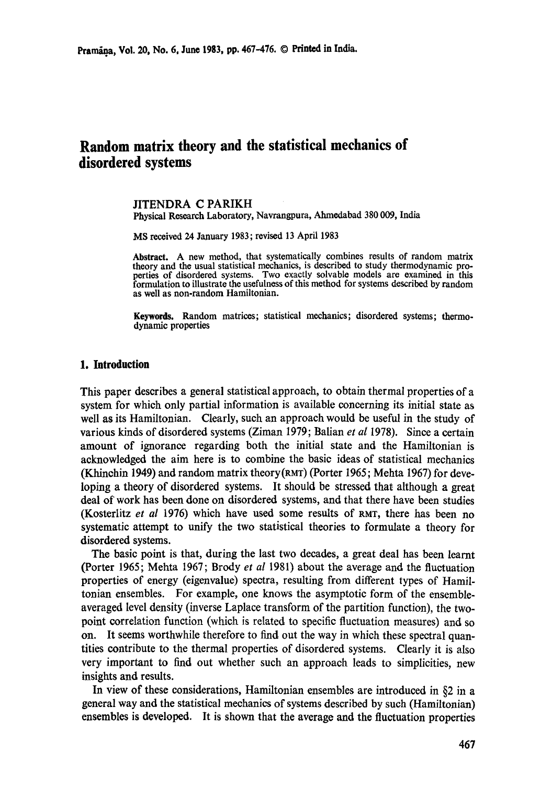# **Random matrix theory and the statistical mechanics of disordered systems**

JITENDRA C PARIKH Physical Research Laboratory, Navrangpura, Ahmedabad 380 009, India

MS received 24 January 1983; revised 13 April 1983

**Abstract.** A new method, that systematically combines results of random matrix theory and the usual statistical mechanics, is described to study thermodynamic properties of disordered systems. Two exactly solvable models are examined in this formulation to illustrate the usefulness of this method for systems described by random **as** well as non-random Hamiltonian.

**Keywords.** Random matrices; statistical mechanics; disordered systems; thermodynamic properties

#### **1. Introduction**

This paper describes a general statistical approach, to obtain thermal properties of a system for which only partial information is available concerning its initial state as well as its Hamiltonian. Clearly, such an approach would be useful in the study of various kinds of disordered systems (Ziman 1979; Balian *et al* 1978). Since a certain amount of ignorance regarding both the initial state and the Hamiltonian is acknowledged the aim here is to combine the basic ideas of statistical mechanics (Khinchin 1949) and random matrix theory(RMT) (Porter 1965; Mehta 1967) for developing a theory of disordered systems. It should be stressed that although a great deal of work has been done on disordered systems, and that there have been studies (Kosterlitz *et al* 1976) which have used some results of RMT, there has been no systematic attempt to unify the two statistical theories to formulate a theory for disordered systems.

The basic point is that, during the last two decades, a great deal has been learnt (Porter 1965; Mehta 1967; Brody *et al* 1981) about the average and the fluctuation properties of energy (eigenvalue) spectra, resulting from different types of Hamiltonian ensembles. For example, one knows the asymptotic form of the ensembleaveraged level density (inverse Laplace transform of the partition function), the twopoint correlation function (which is related to specific fluctuation measures) and so on. It seems worthwhile therefore to find out the way in which these spectral quantities contribute to the thermal properties of disordered systems. Clearly it is also very important to find out whether such an approach leads to simplicities, new insights and results.

In view of these considerations, Hamiltonian ensembles are introduced in §2 in a general way and the statistical mechanics of systems described by such (Hamiltonian) ensembles is developed. It is shown that the average and the fluctuation properties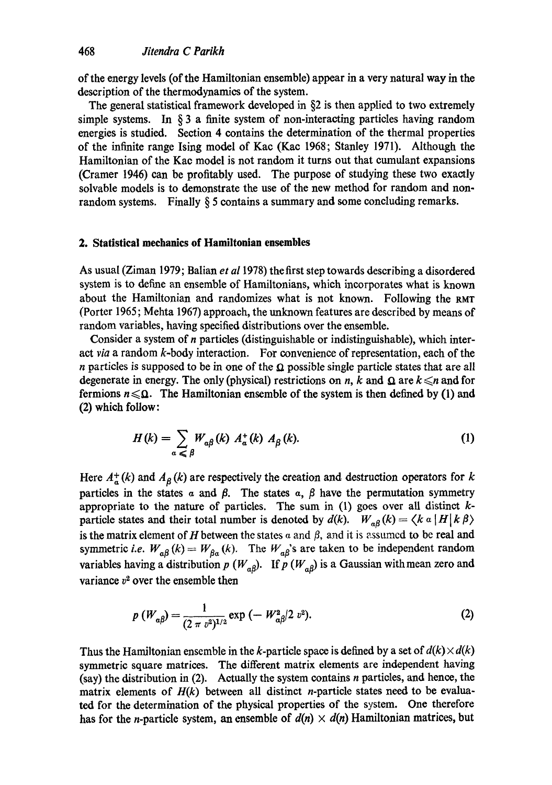of the energy levels (of the Hamiltonian ensemble) appear in a very natural way in the description of the thermodynamics of the system.

The general statistical framework developed in §2 is then applied to two extremely simple systems. In  $\S$  3 a finite system of non-interacting particles having random energies is studied. Section 4 contains the determination of the thermal properties of the infinite range Ising model of Kac (Kae 1968; Stanley 1971). Although the Hamiltonian of the Kac model is not random it turns out that eumulant expansions (Cramer 1946) can be profitably used. The purpose of studying these two exactly solvable models is to demonstrate the use of the new method for random and nonrandom systems. Finally § 5 contains a summary and some concluding remarks.

## **2. Statistical mechanics of Hamiltonian ensembles**

As usual (Ziman 1979; Balian *et a11978)* thefirst step towards describing a disordered system is to define an ensemble of Hamiltonians, which incorporates what is known about the Hamiltonian and randomizes what is not known. Following the RMr (Porter 1965; Mehta 1967) approach, the unknown features are described by means of random variables, having specified distributions over the ensemble.

Consider a system of n particles (distinguishable or indistinguishable), which interact *via* a random k-body interaction. For convenience of representation, each of the n particles is supposed to be in one of the  $\Omega$  possible single particle states that are all degenerate in energy. The only (physical) restrictions on n, k and  $\Omega$  are  $k \leq n$  and for fermions  $n \leq \Omega$ . The Hamiltonian ensemble of the system is then defined by (1) and (2) which follow:

$$
H(k) = \sum_{\alpha \leq \beta} W_{\alpha\beta}(k) A_{\alpha}^{+}(k) A_{\beta}(k). \tag{1}
$$

Here  $A_{\alpha}^{+}(k)$  and  $A_{\beta}(k)$  are respectively the creation and destruction operators for k particles in the states  $\alpha$  and  $\beta$ . The states  $\alpha$ ,  $\beta$  have the permutation symmetry appropriate to the nature of particles. The sum in  $(1)$  goes over all distinct kparticle states and their total number is denoted by  $d(k)$ .  $W_{\alpha\beta}(k) = \langle k \alpha | H | k \beta \rangle$ is the matrix element of H between the states  $\alpha$  and  $\beta$ , and it is assumed to be real and symmetric *i.e.*  $W_{\alpha\beta}(k) = W_{\beta\alpha}(k)$ . The  $W_{\alpha\beta}$ 's are taken to be independent random variables having a distribution p  $(W_{a\beta})$ . If p  $(W_{a\beta})$  is a Gaussian with mean zero and variance  $v^2$  over the ensemble then

$$
p(W_{\alpha\beta}) = \frac{1}{(2 \pi v^2)^{1/2}} \exp(-W_{\alpha\beta}^2/2 v^2).
$$
 (2)

Thus the Hamiltonian ensemble in the k-particle space is defined by a set of  $d(k) \times d(k)$ symmetric square matrices. The different matrix elements are independent having (say) the distribution in  $(2)$ . Actually the system contains *n* particles, and hence, the matrix elements of  $H(k)$  between all distinct *n*-particle states need to be evaluated for the determination of the physical properties of the system. One therefore has for the *n*-particle system, an ensemble of  $d(n) \times d(n)$  Hamiltonian matrices, but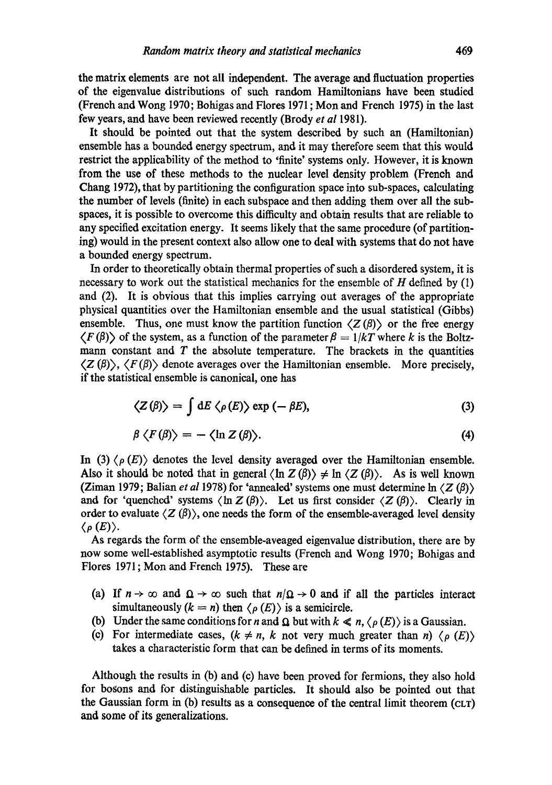the matrix elements are not all independent. The average and fluctuation properties of the eigenvalue distributions of such random Hamiltonians have been studied (French and Wong 1970; Bohigas and Flores 1971; Mon and French 1975) in the last few years, and have been reviewed recently (Brody *et al* 1981).

It should be pointed out that the system described by such an (Hamiltonian) ensemble has a bounded energy spectrum, and it may therefore seem that this would restrict the applicability of the method to 'finite' systems only. However, it is known from the use of these methods to the nuclear level density problem (French and Chang 1972), that by partitioning the configuration space into sub-spaces, calculating the number of levels (finite) in each subspaee and then adding them over all the subspaces, it is possible to overcome this difficulty and obtain results that are reliable to any specified excitation energy. It seems likely that the same procedure (of partitioning) would in the present context also allow one to deal with systems that do not have a bounded energy spectrum.

In order to theoretically obtain thermal properties of such a disordered system, it is necessary to work out the statistical mechanics for the ensemble of  $H$  defined by (1) and (2). It is obvious that this implies carrying out averages of the appropriate physical quantities over the Hamiltonian ensemble and the usual statistical (Gibbs) ensemble. Thus, one must know the partition function  $\langle Z(\beta) \rangle$  or the free energy  $\langle F(\beta) \rangle$  of the system, as a function of the parameter  $\beta = 1/kT$  where k is the Boltzmann constant and  $T$  the absolute temperature. The brackets in the quantities  $\langle Z(\beta)\rangle$ ,  $\langle F(\beta)\rangle$  denote averages over the Hamiltonian ensemble. More precisely, if the statistical ensemble is canonical, one has

$$
\langle Z(\beta) \rangle = \int dE \langle \rho(E) \rangle \exp(-\beta E), \tag{3}
$$

$$
\beta \langle F(\beta) \rangle = - \langle \ln Z(\beta) \rangle. \tag{4}
$$

In (3)  $\langle \rho(E) \rangle$  denotes the level density averaged over the Hamiltonian ensemble. Also it should be noted that in general  $\langle \ln Z(\beta) \rangle \neq \ln \langle Z(\beta) \rangle$ . As is well known (Ziman 1979; Balian *et al* 1978) for 'annealed' systems one must determine  $\ln \langle Z(\beta) \rangle$ and for 'quenched' systems  $\langle \ln Z(\beta) \rangle$ . Let us first consider  $\langle Z(\beta) \rangle$ . Clearly in order to evaluate  $\langle Z(\beta) \rangle$ , one needs the form of the ensemble-averaged level density  $\langle \rho(E) \rangle$ .

As regards the form of the ensemble-aveaged eigenvalue distribution, there are by now some well-established asymptotic results (French and Wong 1970; Bohigas and Flores 1971; Mon and French 1975). These are

- (a) If  $n \to \infty$  and  $\Omega \to \infty$  such that  $n/\Omega \to 0$  and if all the particles interact simultaneously  $(k = n)$  then  $\langle \rho(E) \rangle$  is a semicircle.
- (b) Under the same conditions for *n* and  $\Omega$  but with  $k \ll n$ ,  $\langle \rho(E) \rangle$  is a Gaussian.
- (c) For intermediate cases,  $(k \neq n, k \text{ not very much greater than } n) \langle \rho(E) \rangle$ takes a characteristic form that can be defined in terms of its moments.

Although the results in (b) and (c) have been proved for fermions, they also hold for bosons and for distinguishable particles. It should also be pointed out that the Gaussian form in (b) results as a consequence of the central limit theorem (CLT) and some of its generalizations.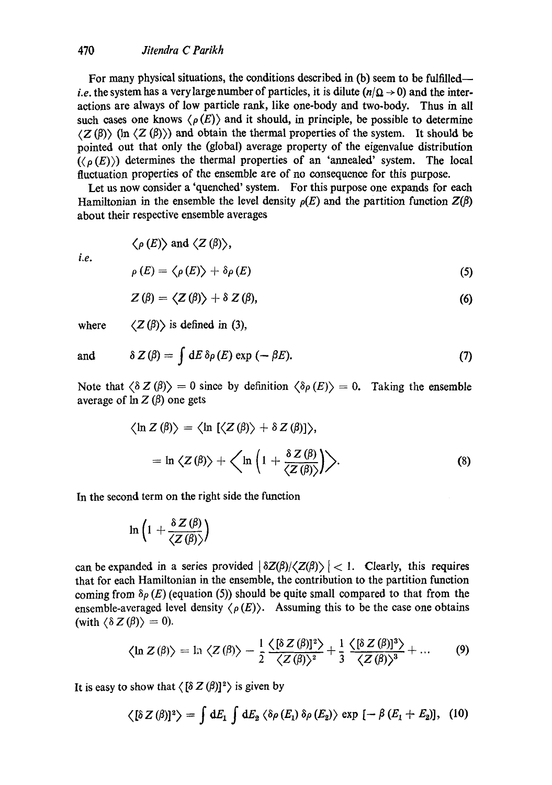# 470 *Jitendra C Parikh*

For many physical situations, the conditions described in (b) seem to be fulfilled *i.e.* the system has a very large number of particles, it is dilute  $(n/\Omega \rightarrow 0)$  and the interactions are always of low particle rank, like one-body and two-body. Thus in all such cases one knows  $\langle \rho(E) \rangle$  and it should, in principle, be possible to determine  $(Z(\beta))$  (In  $(Z(\beta))$ ) and obtain the thermal properties of the system. It should be pointed out that only the (global) average property of the eigenvalue distribution  $({\langle \rho(E) \rangle})$  determines the thermal properties of an 'annealed' system. The local fluctuation properties of the ensemble are of no consequence for this purpose.

Let us now consider a 'quenched' system. For this purpose one expands for each Hamiltonian in the ensemble the level density  $p(E)$  and the partition function  $Z(\beta)$ about their respective ensemble averages

*i.e.* 

$$
\rho(E) = \langle \rho(E) \rangle + \delta \rho(E) \tag{5}
$$

$$
Z(\beta) = \langle Z(\beta) \rangle + \delta Z(\beta), \tag{6}
$$

where  $\langle Z(\beta)\rangle$  is defined in (3),

 $\langle \rho(E) \rangle$  and  $\langle Z(\beta) \rangle$ ,

and 
$$
\delta Z(\beta) = \int dE \, \delta \rho(E) \exp(-\beta E). \tag{7}
$$

Note that  $\langle \delta Z(\beta) \rangle = 0$  since by definition  $\langle \delta \rho(E) \rangle = 0$ . Taking the ensemble average of  $\ln Z(\beta)$  one gets

$$
\langle \ln Z(\beta) \rangle = \langle \ln [\langle Z(\beta) \rangle + \delta Z(\beta)] \rangle,
$$
  
= ln \langle Z(\beta) \rangle + \langle \ln \left( 1 + \frac{\delta Z(\beta)}{\langle Z(\beta) \rangle} \right) \rangle. (8)

In the second term on the right side the function

$$
\ln\left(1+\frac{\delta Z(\beta)}{\langle Z(\beta)\rangle}\right)
$$

can be expanded in a series provided  $\left|\frac{\delta Z(\beta)}{\langle Z(\beta)\rangle}\right|$  < 1. Clearly, this requires that for each Hamiltonian in the ensemble, the contribution to the partition function coming from  $\delta \rho$  (E) (equation (5)) should be quite small compared to that from the ensemble-averaged level density  $\langle \rho(E) \rangle$ . Assuming this to be the case one obtains (with  $\langle \delta Z(\beta) \rangle = 0$ ).

$$
\langle \ln Z(\beta) \rangle = \ln \langle Z(\beta) \rangle - \frac{1}{2} \frac{\langle [\delta Z(\beta)]^2 \rangle}{\langle Z(\beta) \rangle^2} + \frac{1}{3} \frac{\langle [\delta Z(\beta)]^3 \rangle}{\langle Z(\beta) \rangle^3} + \dots \qquad (9)
$$

It is easy to show that  $\langle [\delta Z(\beta)]^2 \rangle$  is given by

$$
\langle [\delta Z(\beta)]^2 \rangle = \int dE_1 \int dE_2 \langle \delta \rho(E_1) \delta \rho(E_2) \rangle \exp \left[ -\beta(E_1 + E_2) \right], \quad (10)
$$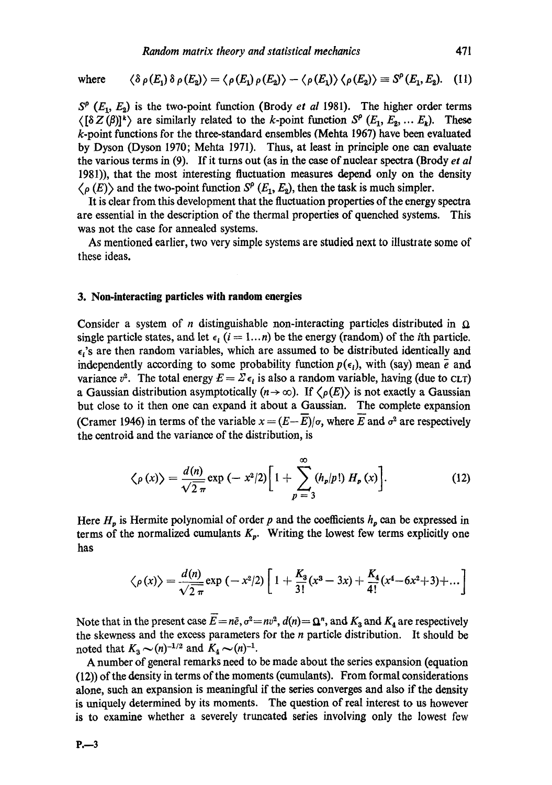where 
$$
\langle \delta \rho(E_1) \delta \rho(E_2) \rangle = \langle \rho(E_1) \rho(E_2) \rangle - \langle \rho(E_1) \rangle \langle \rho(E_2) \rangle \equiv S^{\rho}(E_1, E_2). \quad (11)
$$

 $S^{\rho}$  ( $E_1, E_2$ ) is the two-point function (Brody *et al* 1981). The higher order terms  $\langle [\delta Z(\beta)]^k \rangle$  are similarly related to the k-point function  $S^{\rho}(E_1, E_2, ... E_k)$ . These k-point functions for the three-standard ensembles (Mehta 1967) have been evaluated by Dyson (Dyson 1970; Mehta 1971). Thus, at least in principle one can evaluate the various terms in (9). If it turns out (as in the ease of nuclear spectra (Brody *et al*  1981)), that the most interesting fluctuation measures depend only on the density  $\langle \rho(E) \rangle$  and the two-point function  $S^{\rho}(E_1, E_2)$ , then the task is much simpler.

It is clear from this development that the fluctuation properties of the energy spectra are essential in the description of the thermal properties of quenched systems. This was not the case for annealed systems.

As mentioned earlier, two very simple systems are studied next to illustrate some of these ideas.

#### **3. Non-interacting particles with random energies**

Consider a system of *n* distinguishable non-interacting particles distributed in  $\Omega$ single particle states, and let  $\epsilon_i$  (i = 1...n) be the energy (random) of the *i*th particle.  $\epsilon_i$ 's are then random variables, which are assumed to be distributed identically and independently according to some probability function  $p(\epsilon_i)$ , with (say) mean  $\bar{e}$  and variance  $v^2$ . The total energy  $E = \sum \epsilon_i$  is also a random variable, having (due to CLT) a Gaussian distribution asymptotically  $(n \to \infty)$ . If  $\langle \rho(E) \rangle$  is not exactly a Gaussian but close to it then one can expand it about a Gaussian. The complete expansion (Cramer 1946) in terms of the variable  $x = (E - \overline{E})/\sigma$ , where  $\overline{E}$  and  $\sigma^2$  are respectively the eentroid and the variance of the distribution, is

$$
\langle \rho(x) \rangle = \frac{d(n)}{\sqrt{2\pi}} \exp(-x^2/2) \left[ 1 + \sum_{p=3}^{\infty} (h_p/p!) H_p(x) \right].
$$
 (12)

Here  $H_p$  is Hermite polynomial of order p and the coefficients  $h_p$  can be expressed in terms of the normalized cumulants  $K_p$ . Writing the lowest few terms explicitly one has

$$
\langle \rho(x) \rangle = \frac{d(n)}{\sqrt{2\pi}} \exp(-x^2/2) \left[ 1 + \frac{K_3}{3!} (x^3 - 3x) + \frac{K_4}{4!} (x^4 - 6x^2 + 3) + \dots \right]
$$

Note that in the present case  $\overline{E} = n\overline{e}$ ,  $\sigma^2 = nv^2$ ,  $d(n) = \mathbf{\Omega}^n$ , and  $K_3$  and  $K_4$  are respectively the skewness and the excess parameters for the  $n$  particle distribution. It should be noted that  $K_3 \sim (n)^{-1/2}$  and  $K_4 \sim (n)^{-1}$ .

A number of general remarks need to be made about the series expansion (equation (12)) of the density in terms of the moments (eumulants). From formal considerations alone, such an expansion is meaningful if the series converges and also if the density is uniquely determined by its moments. The question of real interest to us however is to examine whether a severely truncated series involving only the lowest few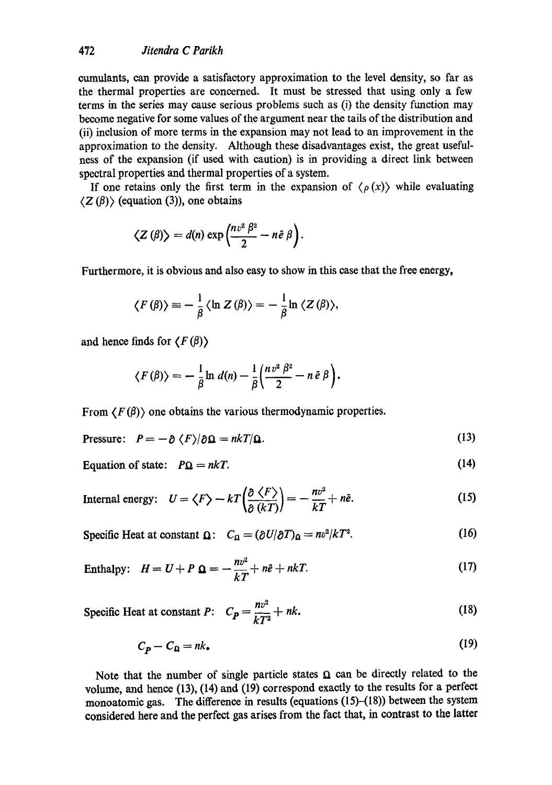cumulants, can provide a satisfactory approximation to the level density, so far as the thermal properties are concerned. It must be stressed that using only a few terms in the series may cause serious problems such as (i) the density function may become negative for some values of the argument near the tails of the distribution and (ii) inclusion of more terms in the expansion may not lead to an improvement in the approximation to the density. Although these disadvantages exist, the great usefulness of the expansion (if used with caution) is in providing a direct link between spectral properties and thermal properties of a system.

If one retains only the first term in the expansion of  $\langle \rho(x) \rangle$  while evaluating  $\langle Z(\beta)\rangle$  (equation (3)), one obtains

$$
\langle Z(\beta)\rangle = d(n) \exp\left(\frac{nv^2 \beta^2}{2} - n\tilde{e} \beta\right).
$$

Furthermore, it is obvious and also easy to show in this ease that the free energy,

$$
\langle F(\beta) \rangle \equiv -\frac{1}{\beta} \langle \ln Z(\beta) \rangle = -\frac{1}{\beta} \ln \langle Z(\beta) \rangle,
$$

and hence finds for  $\langle F(\beta) \rangle$ 

$$
\langle F(\beta) \rangle = -\frac{1}{\beta} \ln d(n) - \frac{1}{\beta} \left( \frac{n v^2 \beta^2}{2} - n \bar{e} \beta \right).
$$

From  $\langle F(\beta) \rangle$  one obtains the various thermodynamic properties.

$$
\text{Pressure:} \quad P = -\partial \langle F \rangle / \partial \Omega = nkT/\Omega. \tag{13}
$$

(14)

Equation of state:  $P_{\Omega} = nkT$ .

Internal energy: 
$$
U = \langle F \rangle - kT \left( \frac{\partial \langle F \rangle}{\partial (kT)} \right) = -\frac{nv^2}{kT} + n\tilde{e}.
$$
 (15)

Specific Heat at constant  $\Omega$ :  $C_{\Omega} = (\partial U/\partial T)_{\Omega} = nv^2/kT^2$ . (16)

$$
Enthalpy: \quad H = U + P \quad \Omega = -\frac{nv^2}{kT} + n\ddot{e} + nkT. \tag{17}
$$

$$
\text{Specific Heat at constant } P: \quad C_P = \frac{nv^2}{kT^2} + nk. \tag{18}
$$

$$
C_p - C_\Omega = n k. \tag{19}
$$

Note that the number of single particle states  $\Omega$  can be directly related to the volume, and hence (13), (14) and (19) correspond exactly to the results for a perfect monoatomic gas. The difference in results (equations (15)-(18)) between the system considered here and the perfect gas arises from the fact that, in contrast to the latter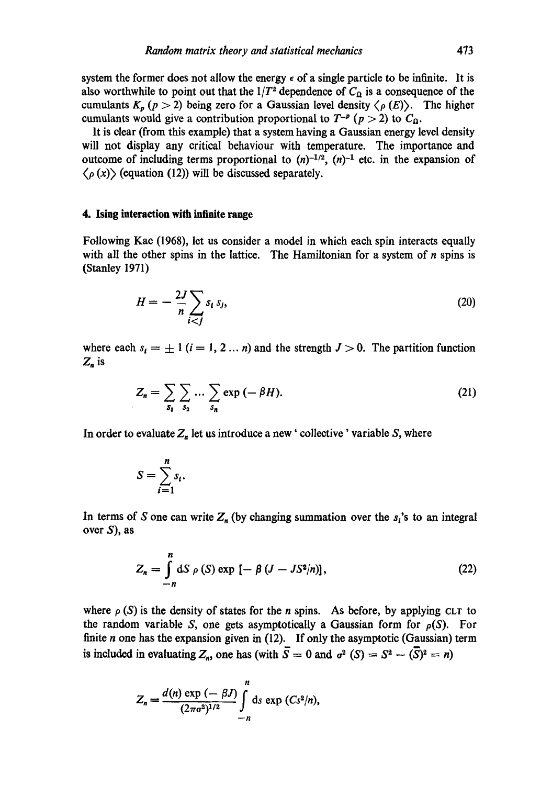system the former does not allow the energy  $\epsilon$  of a single particle to be infinite. It is also worthwhile to point out that the  $1/T^2$  dependence of  $C_{\Omega}$  is a consequence of the cumulants  $K_p$  ( $p > 2$ ) being zero for a Gaussian level density  $\langle \rho(E) \rangle$ . The higher cumulants would give a contribution proportional to  $T^{-p}$  ( $p > 2$ ) to  $C_{\Omega}$ .

It is clear (from this example) that a system having a Gaussian energy level density will not display any critical behaviour with temperature. The importance and outcome of including terms proportional to  $(n)^{-1/2}$ ,  $(n)^{-1}$  etc. in the expansion of  $\langle \rho(x) \rangle$  (equation (12)) will be discussed separately.

## **4. Ising interaction with infinite range**

Following Kac (1968), let us consider a model in which each spin interacts equally with all the other spins in the lattice. The Hamiltonian for a system of  $n$  spins is (Stanley 1971)

$$
H = -\frac{2J}{n} \sum_{i < j} s_i \, s_j,\tag{20}
$$

where each  $s_i = \pm 1$   $(i = 1, 2... n)$  and the strength  $J > 0$ . The partition function  $Z_n$  is

$$
Z_n = \sum_{s_1} \sum_{s_2} \dots \sum_{s_n} \exp(-\beta H). \tag{21}
$$

In order to evaluate  $Z_n$  let us introduce a new ' collective ' variable S, where

$$
S=\sum_{i=1}^n s_i.
$$

In terms of S one can write  $Z_n$  (by changing summation over the  $s_i$ 's to an integral over S), as

$$
Z_n = \int\limits_{-n}^{n} dS \, \rho(S) \exp \left[ -\beta \left( J - J S^2 / n \right) \right], \tag{22}
$$

where  $\rho$  (S) is the density of states for the *n* spins. As before, by applying CLT to the random variable S, one gets asymptotically a Gaussian form for  $\rho(S)$ . For finite  $n$  one has the expansion given in (12). If only the asymptotic (Gaussian) term is included in evaluating  $Z_n$ , one has (with  $\overline{S} = 0$  and  $\sigma^2(S) = S^2 - (\overline{S})^2 = n$ )

$$
Z_n = \frac{d(n) \exp{(-\beta J)}}{(2\pi\sigma^2)^{1/2}} \int_{-n}^{n} ds \exp{(Cs^2/n)},
$$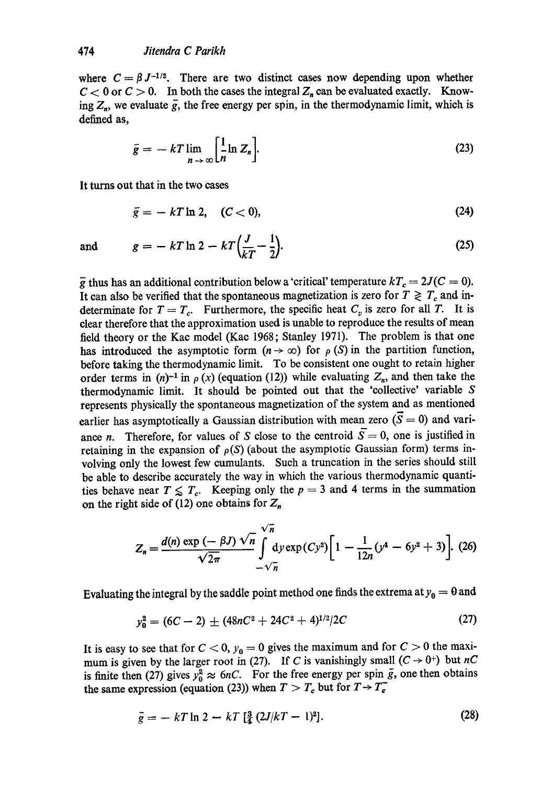where  $C = \beta J^{-1/2}$ . There are two distinct cases now depending upon whether  $C < 0$  or  $C > 0$ . In both the cases the integral  $Z_n$  can be evaluated exactly. Knowing  $Z_n$ , we evaluate  $\overline{g}$ , the free energy per spin, in the thermodynamic limit, which is defined as,

$$
\bar{g} = -kT \lim_{n \to \infty} \left[ \frac{1}{n} \ln Z_n \right].
$$
 (23)

It turns out that in the two cases

$$
\bar{g} = -kT \ln 2, \quad (C < 0), \tag{24}
$$

and  $g = -kT \ln 2 - kT \left( \frac{J}{kT} - \frac{1}{2} \right).$  (25)

 $\bar{g}$  thus has an additional contribution below a 'critical' temperature  $kT_c = 2J(C = 0)$ . It can also be verified that the spontaneous magnetization is zero for  $T \geq T_c$  and indeterminate for  $T = T_c$ . Furthermore, the specific heat  $C_v$  is zero for all T. It is clear therefore that the approximation used is unable to reproduce the results of mean field theory or the Kac model (Kae 1968; Stanley 1971). The problem is that one has introduced the asymptotic form  $(n \to \infty)$  for  $\rho(S)$  in the partition function, before taking the thermodynamic limit. To be consistent one ought to retain higher order terms in  $(n)^{-1}$  in  $\rho(x)$  (equation (12)) while evaluating  $Z_n$ , and then take the thermodynamic limit. It should be pointed out that the 'collective' variable S represents physically the spontaneous magnetization of the system and as mentioned earlier has asymptotically a Gaussian distribution with mean zero  $(\overline{S} = 0)$  and variance *n*. Therefore, for values of S close to the centroid  $\overline{S}=0$ , one is justified in retaining in the expansion of  $\rho(S)$  (about the asymptotic Gaussian form) terms involving only the lowest few eumulants. Such a truncation in the series should still be able to describe accurately the way in which the various thermodynamic quantities behave near  $T \nleq T_c$ . Keeping only the  $p = 3$  and 4 terms in the summation on the right side of (12) one obtains for  $Z_n$ 

$$
Z_n = \frac{d(n) \exp\left(-\beta J\right) \sqrt{n}}{\sqrt{2\pi}} \int_{-\sqrt{n}}^{\sqrt{n}} dy \exp\left(C y^2\right) \left[1 - \frac{1}{12n} (y^4 - 6y^2 + 3)\right]. \tag{26}
$$

Evaluating the integral by the saddle point method one finds the extrema at  $y_0 = 0$  and

$$
y_0^2 = (6C - 2) \pm (48nC^2 + 24C^2 + 4)^{1/2}/2C \tag{27}
$$

It is easy to see that for  $C < 0$ ,  $y_0 = 0$  gives the maximum and for  $C > 0$  the maximum is given by the larger root in (27). If C is vanishingly small  $(C \rightarrow 0^+)$  but  $nC$ is finite then (27) gives  $y_0^2 \approx 6nC$ . For the free energy per spin  $\overline{g}$ , one then obtains the same expression (equation (23)) when  $T > T_c$  but for  $T \rightarrow T_c^-$ 

$$
\bar{g} = -kT \ln 2 - kT \left[ \frac{3}{4} (2J/kT - 1)^2 \right]. \tag{28}
$$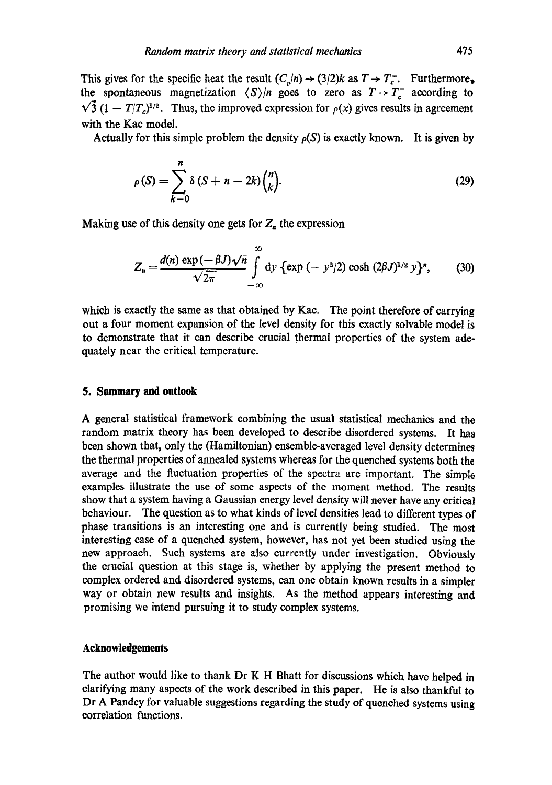This gives for the specific heat the result  $(C_v/n) \rightarrow (3/2)k$  as  $T \rightarrow T_c^-$ . Furthermore, the spontaneous magnetization  $\langle S \rangle/n$  goes to zero as  $T \rightarrow T_c^-$  according to  $\sqrt{3}$  (1 - *T*/*T*<sub>*s*</sub>)<sup>1/2</sup>. Thus, the improved expression for  $\rho(x)$  gives results in agreement with the Kae model.

Actually for this simple problem the density  $\rho(S)$  is exactly known. It is given by

$$
\rho(S) = \sum_{k=0}^{n} \delta (S + n - 2k) {n \choose k}.
$$
\n(29)

Making use of this density one gets for  $Z_n$  the expression

$$
Z_n = \frac{d(n) \exp(-\beta J) \sqrt{n}}{\sqrt{2\pi}} \int_{-\infty}^{\infty} dy \, {\rm exp} \, (-y^2/2) \cosh(2\beta J)^{1/2} y^2, \qquad (30)
$$

which is exactly the same as that obtained by Kac. The point therefore of carrying out a four moment expansion of the level density for this exactly solvable model is to demonstrate that it can describe crucial thermal properties of the system adequately near the critical temperature.

# **5. Summary and outlook**

A general statistical framework combining the usual statistical mechanics and the random matrix theory has been developed to describe disordered systems. It has been shown that, only the (Hamiltonian) ensemble-averaged level density determines the thermal properties of annealed systems whereas for the quenched systems both the average and the fluctuation properties of the spectra are important. The simple examples illustrate the use of some aspects of the moment method. The results show that a system having a Gaussian energy level density will never have any critical behaviour. The question as to what kinds of level densities lead to different types of phase transitions is an interesting one and is currently being studied. The most interesting ease of a quenched system, however, has not yet been studied using the new approaeh. Such systems are also currently under investigation. Obviously the crucial question at this stage is, whether by applying the present method to complex ordered and disordered systems, can one obtain known results in a simpler way or obtain new results and insights. As the method appears interesting and promising we intend pursuing it to study complex systems.

## **Acknowledgements**

The author would like to thank Dr K H Bhatt for discussions which have helped in clarifying many aspects of the work described in this paper, He is also thankful to Dr A Pandey for valuable suggestions regarding the study of quenched systems using correlation functions.